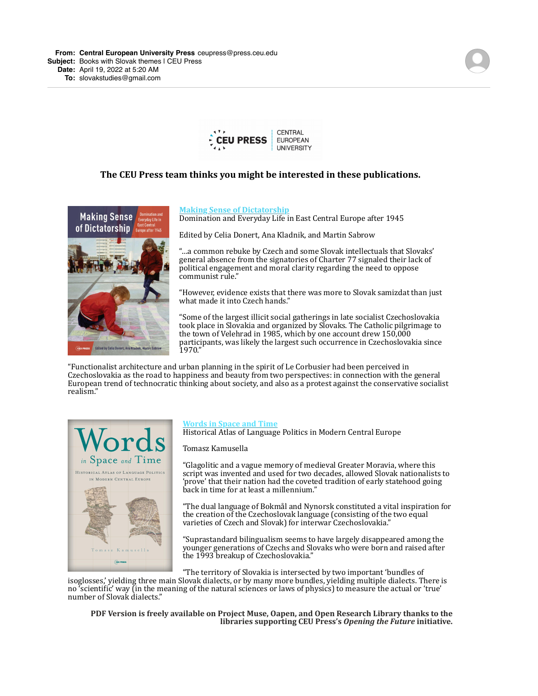

## **The CEU Press team thinks you might be interested in these publications.**



#### **Making Sense of Dictatorship**

Domination and Everyday Life in East Central Europe after 1945

Edited by Celia Donert, Ana Kladnik, and Martin Sabrow

"...a common rebuke by Czech and some Slovak intellectuals that Slovaks' general absence from the signatories of Charter 77 signaled their lack of political engagement and moral clarity regarding the need to oppose communist rule."

"However, evidence exists that there was more to Slovak samizdat than just what made it into Czech hands."

"Some of the largest illicit social gatherings in late socialist Czechoslovakia took place in Slovakia and organized by Slovaks. The Catholic pilgrimage to the town of Velehrad in 1985, which by one account drew  $150,000$ participants, was likely the largest such occurrence in Czechoslovakia since 1970."

"Functionalist architecture and urban planning in the spirit of Le Corbusier had been perceived in Czechoslovakia as the road to happiness and beauty from two perspectives: in connection with the general European trend of technocratic thinking about society, and also as a protest against the conservative socialist realism."



### **Words in Space and Time**

Historical Atlas of Language Politics in Modern Central Europe

## Tomasz Kamusella

"Glagolitic and a vague memory of medieval Greater Moravia, where this script was invented and used for two decades, allowed Slovak nationalists to 'prove' that their nation had the coveted tradition of early statehood going back in time for at least a millennium."

"The dual language of Bokmål and Nynorsk constituted a vital inspiration for the creation of the Czechoslovak language (consisting of the two equal varieties of Czech and Slovak) for interwar Czechoslovakia."

"Suprastandard bilingualism seems to have largely disappeared among the younger generations of Czechs and Slovaks who were born and raised after the 1993 breakup of Czechoslovakia."

"The territory of Slovakia is intersected by two important 'bundles of

isoglosses,' yielding three main Slovak dialects, or by many more bundles, yielding multiple dialects. There is no 'scientific' way (in the meaning of the natural sciences or laws of physics) to measure the actual or 'true' number of Slovak dialects."

PDF Version is freely available on Project Muse, Oapen, and Open Research Library thanks to the **libraries supporting CEU Press's Opening the Future initiative.**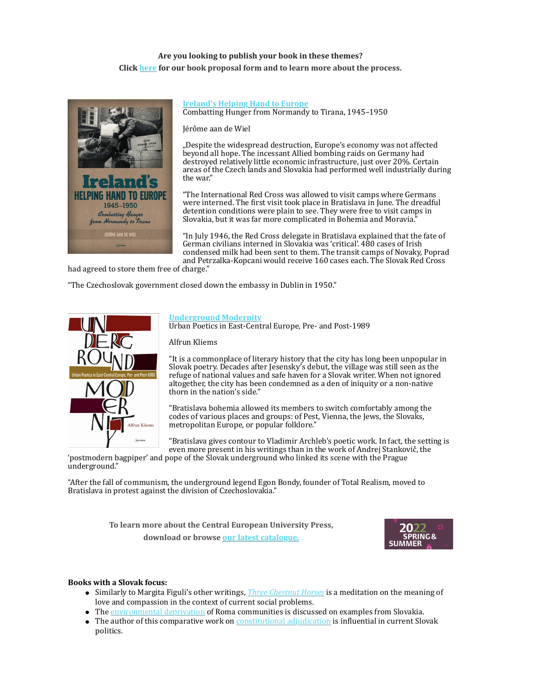# Are you looking to publish your book in these themes? **Click** [here](https://r20.rs6.net/tn.jsp?f=0012ddeCxXxEBgxlsUaVCv3uTohYpRzkNa2firv3lwd8ZKpx9Hu7h2TBY3GUcu67q5yV-hDcCcVZTdzKgb9nn4pSTO8lnTdsoOhNJVWRb8dHeAoVVNd2KN2PGsVl4biut5uE5ge3bZYq4EbwERImTneYUiLg90E2B6UcYT9iXaXAKU=&c=zSI51apcTKYoBeoSJ4LG9wkKJ0w1Cd4xisYrgFhupQ_O0CcBo9oNGA==&ch=8IGLYqjjA39T_-LjRQGGNs5mhFSblzhRiUpyFnEGcVqaAN364r3w_Q==) for our book proposal form and to learn more about the process.



#### **Ireland's Helping Hand to Europe** Combatting Hunger from Normandy to Tirana, 1945–1950

Jérôme aan de Wiel

"Despite the widespread destruction, Europe's economy was not affected beyond all hope. The incessant Allied bombing raids on Germany had destroyed relatively little economic infrastructure, just over 20%. Certain areas of the Czech lands and Slovakia had performed well industrially during the war"

"The International Red Cross was allowed to visit camps where Germans were interned. The first visit took place in Bratislava in June. The dreadful detention conditions were plain to see. They were free to visit camps in Slovakia, but it was far more complicated in Bohemia and Moravia."

"In July 1946, the Red Cross delegate in Bratislava explained that the fate of German civilians interned in Slovakia was 'critical'. 480 cases of Irish condensed milk had been sent to them. The transit camps of Novaky, Poprad and Petrzalka-Kopcani would receive 160 cases each. The Slovak Red Cross

had agreed to store them free of charge."

"The Czechoslovak government closed down the embassy in Dublin in 1950."



#### **[Underground Modernity](https://r20.rs6.net/tn.jsp?f=0012ddeCxXxEBgxlsUaVCv3uTohYpRzkNa2firv3lwd8ZKpx9Hu7h2TBaUwMW75tZEEtkWZAL7xwz6biDc9WU5oimaQfLSvHVkZFpPeLWOC2Ex9IzKWb-AlZKeqMgLoDBbJVVzpuaPcOPbfjlhjvJhBLqf8zRgAGBjgjCt57QNgEHdPn4wEBusQ_A==&c=zSI51apcTKYoBeoSJ4LG9wkKJ0w1Cd4xisYrgFhupQ_O0CcBo9oNGA==&ch=8IGLYqjjA39T_-LjRQGGNs5mhFSblzhRiUpyFnEGcVqaAN364r3w_Q==)**

Urban Poetics in East-Central Europe, Pre- and Post-1989

#### Alfrun Kliems

"It is a commonplace of literary history that the city has long been unpopular in Slovak poetry. Decades after Jesensky's debut, the village was still seen as the refuge of national values and safe haven for a Slovak writer. When not ignored altogether, the city has been condemned as a den of iniquity or a non-native thorn in the nation's side."

"Bratislava bohemia allowed its members to switch comfortably among the codes of various places and groups: of Pest, Vienna, the Jews, the Slovaks, metropolitan Europe, or popular folklore."

"Bratislava gives contour to Vladimir Archleb's poetic work. In fact, the setting is even more present in his writings than in the work of Andrej Stankovič, the

'postmodern bagpiper' and pope of the Slovak underground who linked its scene with the Prague underground."

"After the fall of communism, the underground legend Egon Bondy, founder of Total Realism, moved to Bratislava in protest against the division of Czechoslovakia."

> To learn more about the Central European University Press, **download or browse our latest catalogue.**



#### **Books with a Slovak focus:**

- Similarly to Margita Figuli's other writings, *Three Chestnut Horses* is a meditation on the meaning of love and compassion in the context of current social problems.
- The environmental deprivation of Roma communities is discussed on examples from Slovakia.
- The author of this comparative work on constitutional adjudication is influential in current Slovak politics.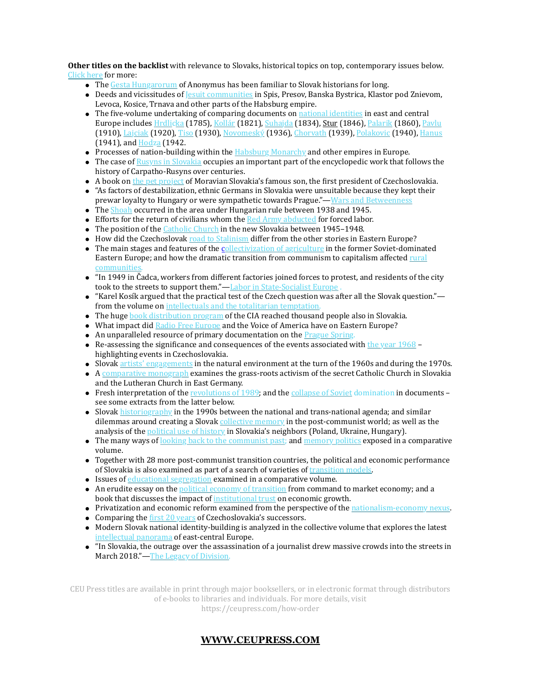**Other titles on the backlist** with relevance to Slovaks, historical topics on top, contemporary issues below. Click here for more:

- The Gesta Hungarorum of Anonymus has been familiar to Slovak historians for long.
- $\bullet$  Deeds and vicissitudes of **Jesuit communities** in Spis, Presov, Banska Bystrica, Klastor pod Znievom, Levoca, Kosice, Trnava and other parts of the Habsburg empire.
- $\bullet$  The five-volume undertaking of comparing documents on national identities in east and central Europe includes Hrdlicka (1785), Kollár (1821), Suhajda (1834), Stur (1846), Palarik (1860), [Pavlu](https://r20.rs6.net/tn.jsp?f=0012ddeCxXxEBgxlsUaVCv3uTohYpRzkNa2firv3lwd8ZKpx9Hu7h2TBUuWupSNV2VvZX6pjbOj0i4ZJMEoOw2S-enlUZJMkuxEcktg6PtpTAVeScMx1rwxDqi4q32ITIv3tfe1YN1Ow5s_rOaaPdT2j37XhxsD4d9CGVQt87v0os8=&c=zSI51apcTKYoBeoSJ4LG9wkKJ0w1Cd4xisYrgFhupQ_O0CcBo9oNGA==&ch=8IGLYqjjA39T_-LjRQGGNs5mhFSblzhRiUpyFnEGcVqaAN364r3w_Q==) (1910), [Lajciak](https://r20.rs6.net/tn.jsp?f=0012ddeCxXxEBgxlsUaVCv3uTohYpRzkNa2firv3lwd8ZKpx9Hu7h2TBUuWupSNV2VvZX6pjbOj0i4ZJMEoOw2S-enlUZJMkuxEcktg6PtpTAVeScMx1rwxDqi4q32ITIv3tfe1YN1Ow5s_rOaaPdT2j37XhxsD4d9CGVQt87v0os8=&c=zSI51apcTKYoBeoSJ4LG9wkKJ0w1Cd4xisYrgFhupQ_O0CcBo9oNGA==&ch=8IGLYqjjA39T_-LjRQGGNs5mhFSblzhRiUpyFnEGcVqaAN364r3w_Q==) (1920), Tiso (1930), Novomeský (1936), Chorvath (1939), [Polakovic](https://r20.rs6.net/tn.jsp?f=0012ddeCxXxEBgxlsUaVCv3uTohYpRzkNa2firv3lwd8ZKpx9Hu7h2TBbuELi8GZyaaYWHYhbFRQZb4TekRc51bBLfkJH2Vr6COnH4x870xciANTv20fw3O4lt1QGQNREuivGSVwjgnVoFwEeY8scs9UT275dTmc-F63HWxqialrHo=&c=zSI51apcTKYoBeoSJ4LG9wkKJ0w1Cd4xisYrgFhupQ_O0CcBo9oNGA==&ch=8IGLYqjjA39T_-LjRQGGNs5mhFSblzhRiUpyFnEGcVqaAN364r3w_Q==) (1940), Hanus  $(1941)$ , and  $Hodza$  (1942.
- Processes of nation-building within the  $Habsburg Monarchy$  and other empires in Europe.
- The case of Rusyns in Slovakia occupies an important part of the encyclopedic work that follows the history of Carpatho-Rusyns over centuries.
- A book on the pet project of Moravian Slovakia's famous son, the first president of Czechoslovakia.
- "As factors of destabilization, ethnic Germans in Slovakia were unsuitable because they kept their prewar loyalty to Hungary or were sympathetic towards Prague." - Wars and Betweenness
- $\bullet$  The **Shoah** occurred in the area under Hungarian rule between 1938 and 1945.
- **Efforts** for the return of civilians whom the  $\frac{\text{Red Army }$  abducted for forced labor.
- $\bullet$  The position of the *Catholic Church* in the new Slovakia between 1945–1948.
- How did the Czechoslovak road to Stalinism differ from the other stories in Eastern Europe?
- $\bullet$  The main stages and features of the collectivization of agriculture in the former Soviet-dominated Eastern Europe; and how the dramatic transition from communism to capitalism affected rural communitie
- "In 1949 in Čadca, workers from different factories joined forces to protest, and residents of the city took to the streets to support them."—Labor in State-Socialist Europe
- $\bullet$  "Karel Kosík argued that the practical test of the Czech question was after all the Slovak question." from the volume on intellectuals and the totalitarian temptation.
- The huge book distribution program of the CIA reached thousand people also in Slovakia.
- What impact did Radio Free Europe and the Voice of America have on Eastern Europe?
- $\bullet$  An unparalleled resource of primary documentation on the Prague Spring.
- Re-assessing the significance and consequences of the events associated with the year  $1968$ highlighting events in Czechoslovakia.
- Slovak artists' engagements in the natural environment at the turn of the 1960s and during the 1970s.
- $\bullet$  A comparative monograph examines the grass-roots activism of the secret Catholic Church in Slovakia and the Lutheran Church in East Germany.
- Fresh interpretation of the revolutions of 1989; and the collapse of Soviet domination in documents  $$ see some extracts from the latter below.
- Slovak [historiography](https://r20.rs6.net/tn.jsp?f=0012ddeCxXxEBgxlsUaVCv3uTohYpRzkNa2firv3lwd8ZKpx9Hu7h2TBbDFUKM-romTTWQIJbhLuZHjuO0qGiyRJLaOTU5xZvBxTl_Sk63tUMZFDOkEe-w6t_YOUKtYLz-3WRDI6uB62BCrbajCZhJwcBpg5qLGyLuUbjOzuRxU5bc=&c=zSI51apcTKYoBeoSJ4LG9wkKJ0w1Cd4xisYrgFhupQ_O0CcBo9oNGA==&ch=8IGLYqjjA39T_-LjRQGGNs5mhFSblzhRiUpyFnEGcVqaAN364r3w_Q==) in the 1990s between the national and trans-national agenda; and similar dilemmas around creating a Slovak collective memory in the post-communist world; as well as the analysis of the political use of history in Slovakia's neighbors (Poland, Ukraine, Hungary).
- $\bullet$  The many ways of looking back to the communist past; and memory politics exposed in a comparative volume.
- Together with 28 more post-communist transition countries, the political and economic performance of Slovakia is also examined as part of a search of varieties of transition models.
- $\bullet$  Issues of educational segregation examined in a comparative volume.
- $\bullet$  An erudite essay on the political economy of transition from command to market economy; and a book that discusses the impact of institutional trust on economic growth.
- Privatization and economic reform examined from the perspective of the nationalism-economy nexus.
- Comparing the first  $20$  years of Czechoslovakia's successors.
- Modern Slovak national identity-building is analyzed in the collective volume that explores the latest intellectual panorama of east-central Europe.
- "In Slovakia, the outrage over the assassination of a journalist drew massive crowds into the streets in March 2018."-The Legacy of Division.

CEU Press titles are available in print through major booksellers, or in electronic format through distributors of e-books to libraries and individuals. For more details, visit

[https://ceupress.com/how-order](https://r20.rs6.net/tn.jsp?f=0012ddeCxXxEBgxlsUaVCv3uTohYpRzkNa2firv3lwd8ZKpx9Hu7h2TBUXccIYOgifLmvh3x6FwAznlf0bh2VTDbuDqY335tU32xBMCmgLbvhZMS52zbxEtNntBx34cQNUD91hxPBaYvrUsK4q-9G8XfQ==&c=zSI51apcTKYoBeoSJ4LG9wkKJ0w1Cd4xisYrgFhupQ_O0CcBo9oNGA==&ch=8IGLYqjjA39T_-LjRQGGNs5mhFSblzhRiUpyFnEGcVqaAN364r3w_Q==)

# **[WWW.CEUPRESS.COM](https://r20.rs6.net/tn.jsp?f=0012ddeCxXxEBgxlsUaVCv3uTohYpRzkNa2firv3lwd8ZKpx9Hu7h2TBVIZEjdx7RLzyEGOrC__aP1KF0Yt_D0vdZftwnqTOdoiw42EW_JgOhEzb979t7Chj0tIZv8cNI8gkP3boVTVjuk=&c=zSI51apcTKYoBeoSJ4LG9wkKJ0w1Cd4xisYrgFhupQ_O0CcBo9oNGA==&ch=8IGLYqjjA39T_-LjRQGGNs5mhFSblzhRiUpyFnEGcVqaAN364r3w_Q==)**